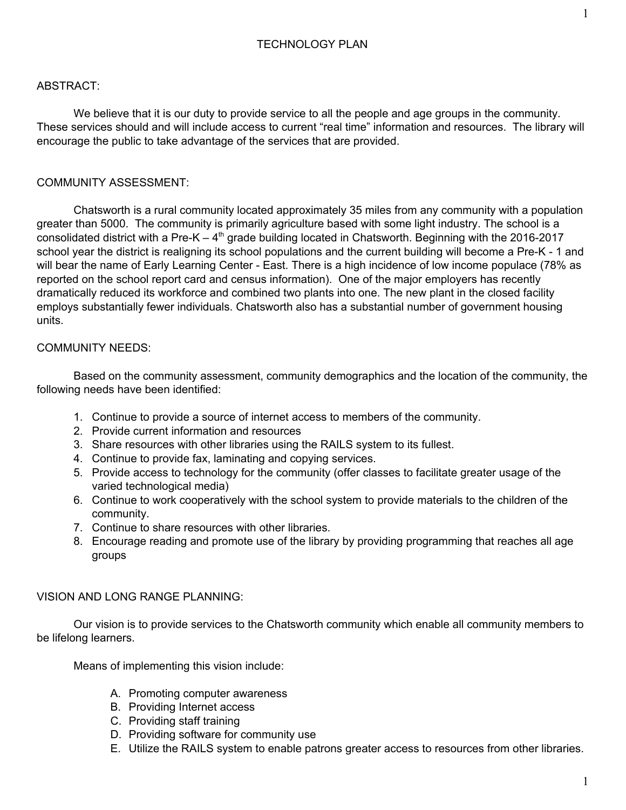## ABSTRACT:

We believe that it is our duty to provide service to all the people and age groups in the community. These services should and will include access to current "real time" information and resources. The library will encourage the public to take advantage of the services that are provided.

## COMMUNITY ASSESSMENT:

Chatsworth is a rural community located approximately 35 miles from any community with a population greater than 5000. The community is primarily agriculture based with some light industry. The school is a consolidated district with a Pre-K  $-4<sup>th</sup>$  grade building located in Chatsworth. Beginning with the 2016-2017 school year the district is realigning its school populations and the current building will become a Pre-K - 1 and will bear the name of Early Learning Center - East. There is a high incidence of low income populace (78% as reported on the school report card and census information). One of the major employers has recently dramatically reduced its workforce and combined two plants into one. The new plant in the closed facility employs substantially fewer individuals. Chatsworth also has a substantial number of government housing units.

#### COMMUNITY NEEDS:

Based on the community assessment, community demographics and the location of the community, the following needs have been identified:

- 1. Continue to provide a source of internet access to members of the community.
- 2. Provide current information and resources
- 3. Share resources with other libraries using the RAILS system to its fullest.
- 4. Continue to provide fax, laminating and copying services.
- 5. Provide access to technology for the community (offer classes to facilitate greater usage of the varied technological media)
- 6. Continue to work cooperatively with the school system to provide materials to the children of the community.
- 7. Continue to share resources with other libraries.
- 8. Encourage reading and promote use of the library by providing programming that reaches all age groups

#### VISION AND LONG RANGE PLANNING:

Our vision is to provide services to the Chatsworth community which enable all community members to be lifelong learners.

Means of implementing this vision include:

- A. Promoting computer awareness
- B. Providing Internet access
- C. Providing staff training
- D. Providing software for community use
- E. Utilize the RAILS system to enable patrons greater access to resources from other libraries.